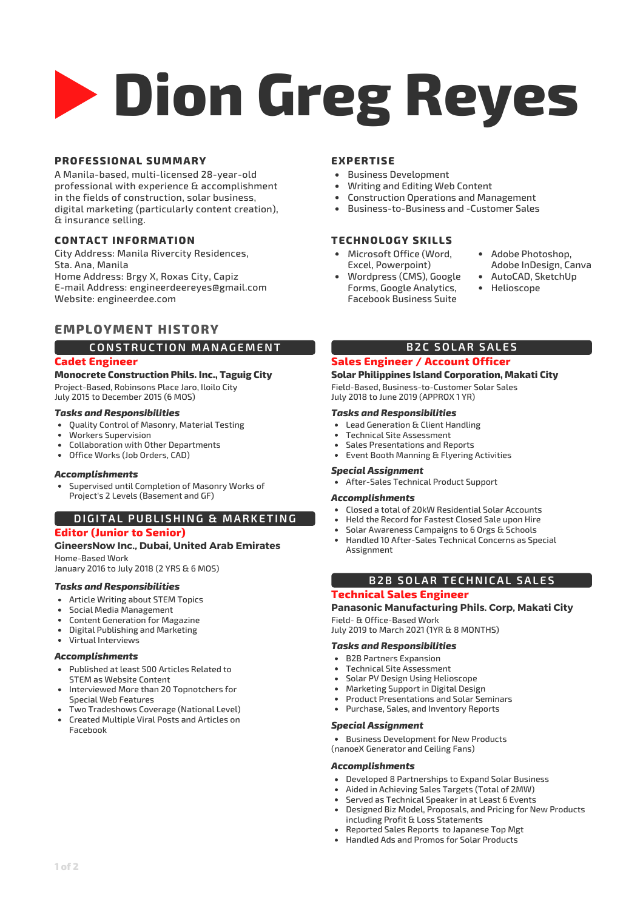# **Dion Greg Reyes**

# **PROFESSIONAL SUMMARY**

A Manila-based, multi-licensed 28-year-old professional with experience & accomplishment in the fields of construction, solar business, digital marketing (particularly content creation), & insurance selling.

# **CONTACT INFORMATION**

City Address: Manila Rivercity Residences, Sta. Ana, Manila Home Address: Brgy X, Roxas City, Capiz E-mail Address: engineerdeereyes@gmail.com Website: engineerdee.com

# **EMPLOYMENT HISTORY**

# **CONSTRUCTION MANAGEMENT**

### **Cadet Engineer**

**Monocrete Construction Phils. Inc., Taguig City**

Project-Based, Robinsons Place Jaro, Iloilo City July 2015 to December 2015 (6 MOS)

#### *Tasks and Responsibilities*

- Quality Control of Masonry, Material Testing
- Workers Supervision
- Collaboration with Other Departments
- Office Works (Job Orders, CAD)

#### *Accomplishments*

Supervised until Completion of Masonry Works of Project's 2 Levels (Basement and GF)

# **DIGITAL PUBL ISHING & MARKETING**

# **Editor (Junior to Senior)**

# **GineersNow Inc., Dubai, United Arab Emirates**

Home-Based Work January 2016 to July 2018 (2 YRS & 6 MOS)

#### *Tasks and Responsibilities*

- Article Writing about STEM Topics
- Social Media Management
- Content Generation for Magazine
- Digital Publishing and Marketing
- Virtual Interviews

#### *Accomplishments*

- Published at least 500 Articles Related to STEM as Website Content
- Interviewed More than 20 Topnotchers for Special Web Features
- Two Tradeshows Coverage (National Level)
- Created Multiple Viral Posts and Articles on Facebook

#### **EXPERTISE**

- Business Development
- Writing and Editing Web Content
- Construction Operations and Management
- Business-to-Business and -Customer Sales

#### **TECHNOLOGY SKILLS**

- Microsoft Office (Word, Excel, Powerpoint)
- Adobe Photoshop, Adobe InDesign, Canva
- Wordpress (CMS), Google Forms, Google Analytics, Facebook Business Suite
- AutoCAD, SketchUp
- Helioscope

# **B2C SOLAR SALES**

# **Sales Engineer / Account Officer**

#### **Solar Philippines Island Corporation, Makati City** Field-Based, Business-to-Customer Solar Sales

July 2018 to June 2019 (APPROX 1 YR)

# *Tasks and Responsibilities*

- Lead Generation & Client Handling
- Technical Site Assessment
- Sales Presentations and Reports  $\bullet$

# Event Booth Manning & Flyering Activities

#### *Special Assignment*

After-Sales Technical Product Support

#### *Accomplishments*

- Closed a total of 20kW Residential Solar Accounts
- Held the Record for Fastest Closed Sale upon Hire
- Solar Awareness Campaigns to 6 Orgs & Schools
- Handled 10 After-Sales Technical Concerns as Special Assignment

# **B2B SOLAR TECHNICAL SALES**

#### **Technical Sales Engineer**

#### **Panasonic Manufacturing Phils. Corp, Makati City** Field- & Office-Based Work

July 2019 to March 2021 (1YR & 8 MONTHS)

#### *Tasks and Responsibilities*

- B2B Partners Expansion
- Technical Site Assessment
- Solar PV Design Using Helioscope  $\bullet$
- Marketing Support in Digital Design
- Product Presentations and Solar Seminars
- Purchase, Sales, and Inventory Reports

#### *Special Assignment*

**• Business Development for New Products** (nanoeX Generator and Ceiling Fans)

#### *Accomplishments*

- Developed 8 Partnerships to Expand Solar Business
- Aided in Achieving Sales Targets (Total of 2MW)
- Served as Technical Speaker in at Least 6 Events Designed Biz Model, Proposals, and Pricing for New Products including Profit & Loss Statements
- Reported Sales Reports to Japanese Top Mgt
- Handled Ads and Promos for Solar Products